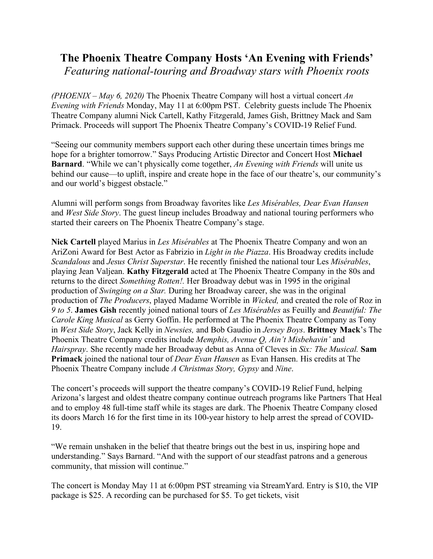## **The Phoenix Theatre Company Hosts 'An Evening with Friends'** *Featuring national-touring and Broadway stars with Phoenix roots*

*(PHOENIX – May 6, 2020)* The Phoenix Theatre Company will host a virtual concert *An Evening with Friends* Monday, May 11 at 6:00pm PST. Celebrity guests include The Phoenix Theatre Company alumni Nick Cartell, Kathy Fitzgerald, James Gish, Brittney Mack and Sam Primack. Proceeds will support The Phoenix Theatre Company's COVID-19 Relief Fund.

"Seeing our community members support each other during these uncertain times brings me hope for a brighter tomorrow." Says Producing Artistic Director and Concert Host **Michael Barnard**. "While we can't physically come together, *An Evening with Friends* will unite us behind our cause—to uplift, inspire and create hope in the face of our theatre's, our community's and our world's biggest obstacle."

Alumni will perform songs from Broadway favorites like *Les Misérables, Dear Evan Hansen*  and *West Side Story*. The guest lineup includes Broadway and national touring performers who started their careers on The Phoenix Theatre Company's stage.

**Nick Cartell** played Marius in *Les Misérables* at The Phoenix Theatre Company and won an AriZoni Award for Best Actor as Fabrizio in *Light in the Piazza*. His Broadway credits include *Scandalous* and *Jesus Christ Superstar*. He recently finished the national tour Les *Misérables*, playing Jean Valjean. **Kathy Fitzgerald** acted at The Phoenix Theatre Company in the 80s and returns to the direct *Something Rotten!.* Her Broadway debut was in 1995 in the original production of *Swinging on a Star.* During her Broadway career, she was in the original production of *The Producers*, played Madame Worrible in *Wicked,* and created the role of Roz in *9 to 5*. **James Gish** recently joined national tours of *Les Misérables* as Feuilly and *Beautiful: The Carole King Musical* as Gerry Goffin. He performed at The Phoenix Theatre Company as Tony in *West Side Story*, Jack Kelly in *Newsies,* and Bob Gaudio in *Jersey Boys*. **Brittney Mack**'s The Phoenix Theatre Company credits include *Memphis, Avenue Q, Ain't Misbehavin'* and *Hairspray*. She recently made her Broadway debut as Anna of Cleves in *Six: The Musical.* **Sam Primack** joined the national tour of *Dear Evan Hansen* as Evan Hansen. His credits at The Phoenix Theatre Company include *A Christmas Story, Gypsy* and *Nine*.

The concert's proceeds will support the theatre company's COVID-19 Relief Fund, helping Arizona's largest and oldest theatre company continue outreach programs like Partners That Heal and to employ 48 full-time staff while its stages are dark. The Phoenix Theatre Company closed its doors March 16 for the first time in its 100-year history to help arrest the spread of COVID-19.

"We remain unshaken in the belief that theatre brings out the best in us, inspiring hope and understanding." Says Barnard. "And with the support of our steadfast patrons and a generous community, that mission will continue."

The concert is Monday May 11 at 6:00pm PST streaming via StreamYard. Entry is \$10, the VIP package is \$25. A recording can be purchased for \$5. To get tickets, visit